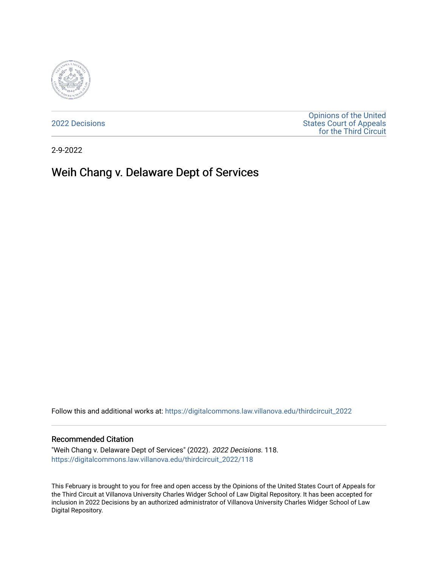

[2022 Decisions](https://digitalcommons.law.villanova.edu/thirdcircuit_2022)

[Opinions of the United](https://digitalcommons.law.villanova.edu/thirdcircuit)  [States Court of Appeals](https://digitalcommons.law.villanova.edu/thirdcircuit)  [for the Third Circuit](https://digitalcommons.law.villanova.edu/thirdcircuit) 

2-9-2022

# Weih Chang v. Delaware Dept of Services

Follow this and additional works at: [https://digitalcommons.law.villanova.edu/thirdcircuit\\_2022](https://digitalcommons.law.villanova.edu/thirdcircuit_2022?utm_source=digitalcommons.law.villanova.edu%2Fthirdcircuit_2022%2F118&utm_medium=PDF&utm_campaign=PDFCoverPages) 

#### Recommended Citation

"Weih Chang v. Delaware Dept of Services" (2022). 2022 Decisions. 118. [https://digitalcommons.law.villanova.edu/thirdcircuit\\_2022/118](https://digitalcommons.law.villanova.edu/thirdcircuit_2022/118?utm_source=digitalcommons.law.villanova.edu%2Fthirdcircuit_2022%2F118&utm_medium=PDF&utm_campaign=PDFCoverPages)

This February is brought to you for free and open access by the Opinions of the United States Court of Appeals for the Third Circuit at Villanova University Charles Widger School of Law Digital Repository. It has been accepted for inclusion in 2022 Decisions by an authorized administrator of Villanova University Charles Widger School of Law Digital Repository.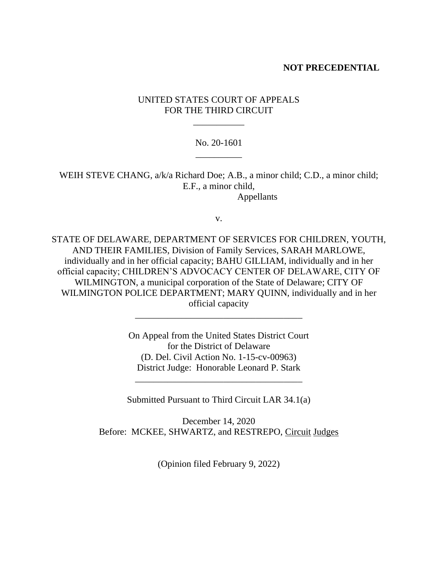#### **NOT PRECEDENTIAL**

## UNITED STATES COURT OF APPEALS FOR THE THIRD CIRCUIT

\_\_\_\_\_\_\_\_\_\_\_

### No. 20-1601 \_\_\_\_\_\_\_\_\_\_

WEIH STEVE CHANG, a/k/a Richard Doe; A.B., a minor child; C.D., a minor child; E.F., a minor child, Appellants

v.

STATE OF DELAWARE, DEPARTMENT OF SERVICES FOR CHILDREN, YOUTH, AND THEIR FAMILIES, Division of Family Services, SARAH MARLOWE, individually and in her official capacity; BAHU GILLIAM, individually and in her official capacity; CHILDREN'S ADVOCACY CENTER OF DELAWARE, CITY OF WILMINGTON, a municipal corporation of the State of Delaware; CITY OF WILMINGTON POLICE DEPARTMENT; MARY QUINN, individually and in her official capacity

> On Appeal from the United States District Court for the District of Delaware (D. Del. Civil Action No. 1-15-cv-00963) District Judge: Honorable Leonard P. Stark

\_\_\_\_\_\_\_\_\_\_\_\_\_\_\_\_\_\_\_\_\_\_\_\_\_\_\_\_\_\_\_\_\_\_\_\_

Submitted Pursuant to Third Circuit LAR 34.1(a)

\_\_\_\_\_\_\_\_\_\_\_\_\_\_\_\_\_\_\_\_\_\_\_\_\_\_\_\_\_\_\_\_\_\_\_\_

December 14, 2020 Before: MCKEE, SHWARTZ, and RESTREPO, Circuit Judges

(Opinion filed February 9, 2022)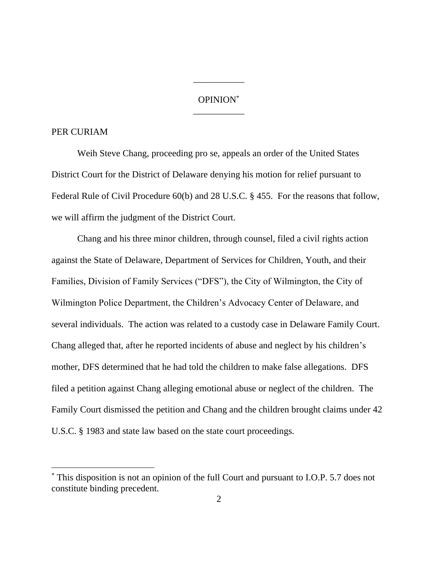## OPINION\* \_\_\_\_\_\_\_\_\_\_\_

\_\_\_\_\_\_\_\_\_\_\_

#### PER CURIAM

Weih Steve Chang, proceeding pro se, appeals an order of the United States District Court for the District of Delaware denying his motion for relief pursuant to Federal Rule of Civil Procedure 60(b) and 28 U.S.C. § 455. For the reasons that follow, we will affirm the judgment of the District Court.

Chang and his three minor children, through counsel, filed a civil rights action against the State of Delaware, Department of Services for Children, Youth, and their Families, Division of Family Services ("DFS"), the City of Wilmington, the City of Wilmington Police Department, the Children's Advocacy Center of Delaware, and several individuals. The action was related to a custody case in Delaware Family Court. Chang alleged that, after he reported incidents of abuse and neglect by his children's mother, DFS determined that he had told the children to make false allegations. DFS filed a petition against Chang alleging emotional abuse or neglect of the children. The Family Court dismissed the petition and Chang and the children brought claims under 42 U.S.C. § 1983 and state law based on the state court proceedings.

This disposition is not an opinion of the full Court and pursuant to I.O.P. 5.7 does not constitute binding precedent.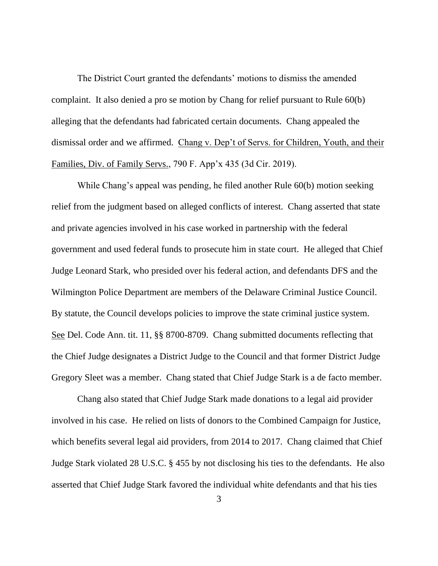The District Court granted the defendants' motions to dismiss the amended complaint. It also denied a pro se motion by Chang for relief pursuant to Rule 60(b) alleging that the defendants had fabricated certain documents. Chang appealed the dismissal order and we affirmed. Chang v. Dep't of Servs. for Children, Youth, and their Families, Div. of Family Servs., 790 F. App'x 435 (3d Cir. 2019).

While Chang's appeal was pending, he filed another Rule 60(b) motion seeking relief from the judgment based on alleged conflicts of interest. Chang asserted that state and private agencies involved in his case worked in partnership with the federal government and used federal funds to prosecute him in state court. He alleged that Chief Judge Leonard Stark, who presided over his federal action, and defendants DFS and the Wilmington Police Department are members of the Delaware Criminal Justice Council. By statute, the Council develops policies to improve the state criminal justice system. See Del. Code Ann. tit. 11, §§ 8700-8709. Chang submitted documents reflecting that the Chief Judge designates a District Judge to the Council and that former District Judge Gregory Sleet was a member. Chang stated that Chief Judge Stark is a de facto member.

Chang also stated that Chief Judge Stark made donations to a legal aid provider involved in his case. He relied on lists of donors to the Combined Campaign for Justice, which benefits several legal aid providers, from 2014 to 2017. Chang claimed that Chief Judge Stark violated 28 U.S.C. § 455 by not disclosing his ties to the defendants. He also asserted that Chief Judge Stark favored the individual white defendants and that his ties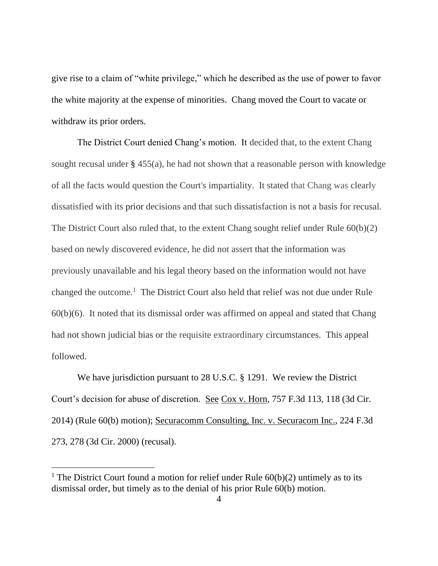give rise to a claim of "white privilege," which he described as the use of power to favor the white majority at the expense of minorities. Chang moved the Court to vacate or withdraw its prior orders.

The District Court denied Chang's motion. It decided that, to the extent Chang sought recusal under  $\S$  455(a), he had not shown that a reasonable person with knowledge of all the facts would question the Court's impartiality. It stated that Chang was clearly dissatisfied with its prior decisions and that such dissatisfaction is not a basis for recusal. The District Court also ruled that, to the extent Chang sought relief under Rule 60(b)(2) based on newly discovered evidence, he did not assert that the information was previously unavailable and his legal theory based on the information would not have changed the outcome.<sup>1</sup> The District Court also held that relief was not due under Rule  $60(b)(6)$ . It noted that its dismissal order was affirmed on appeal and stated that Chang had not shown judicial bias or the requisite extraordinary circumstances. This appeal followed.

We have jurisdiction pursuant to 28 U.S.C. § 1291. We review the District Court's decision for abuse of discretion. See Cox v. Horn, 757 F.3d 113, 118 (3d Cir. 2014) (Rule 60(b) motion); Securacomm Consulting, Inc. v. Securacom Inc., 224 F.3d 273, 278 (3d Cir. 2000) (recusal).

<sup>&</sup>lt;sup>1</sup> The District Court found a motion for relief under Rule  $60(b)(2)$  untimely as to its dismissal order, but timely as to the denial of his prior Rule 60(b) motion.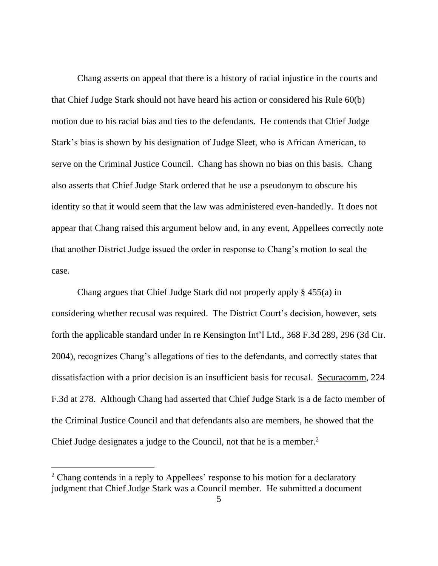Chang asserts on appeal that there is a history of racial injustice in the courts and that Chief Judge Stark should not have heard his action or considered his Rule 60(b) motion due to his racial bias and ties to the defendants. He contends that Chief Judge Stark's bias is shown by his designation of Judge Sleet, who is African American, to serve on the Criminal Justice Council. Chang has shown no bias on this basis. Chang also asserts that Chief Judge Stark ordered that he use a pseudonym to obscure his identity so that it would seem that the law was administered even-handedly. It does not appear that Chang raised this argument below and, in any event, Appellees correctly note that another District Judge issued the order in response to Chang's motion to seal the case.

Chang argues that Chief Judge Stark did not properly apply § 455(a) in considering whether recusal was required. The District Court's decision, however, sets forth the applicable standard under In re Kensington Int'l Ltd., 368 F.3d 289, 296 (3d Cir. 2004), recognizes Chang's allegations of ties to the defendants, and correctly states that dissatisfaction with a prior decision is an insufficient basis for recusal. Securacomm, 224 F.3d at 278. Although Chang had asserted that Chief Judge Stark is a de facto member of the Criminal Justice Council and that defendants also are members, he showed that the Chief Judge designates a judge to the Council, not that he is a member.<sup>2</sup>

<sup>&</sup>lt;sup>2</sup> Chang contends in a reply to Appellees' response to his motion for a declaratory judgment that Chief Judge Stark was a Council member. He submitted a document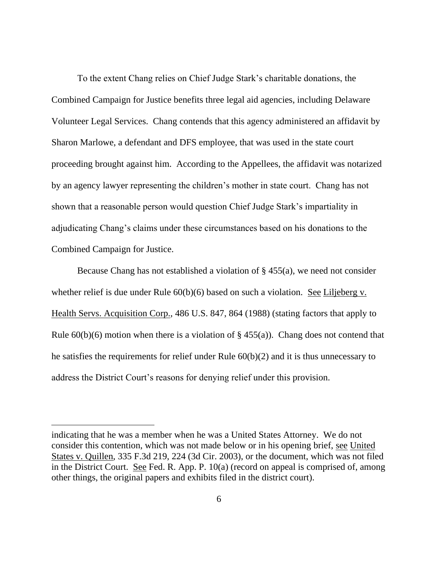To the extent Chang relies on Chief Judge Stark's charitable donations, the Combined Campaign for Justice benefits three legal aid agencies, including Delaware Volunteer Legal Services. Chang contends that this agency administered an affidavit by Sharon Marlowe, a defendant and DFS employee, that was used in the state court proceeding brought against him. According to the Appellees, the affidavit was notarized by an agency lawyer representing the children's mother in state court. Chang has not shown that a reasonable person would question Chief Judge Stark's impartiality in adjudicating Chang's claims under these circumstances based on his donations to the Combined Campaign for Justice.

Because Chang has not established a violation of § 455(a), we need not consider whether relief is due under Rule  $60(b)(6)$  based on such a violation. See Liljeberg v. Health Servs. Acquisition Corp., 486 U.S. 847, 864 (1988) (stating factors that apply to Rule  $60(b)(6)$  motion when there is a violation of § 455(a)). Chang does not contend that he satisfies the requirements for relief under Rule 60(b)(2) and it is thus unnecessary to address the District Court's reasons for denying relief under this provision.

indicating that he was a member when he was a United States Attorney. We do not consider this contention, which was not made below or in his opening brief, see United States v. Quillen, 335 F.3d 219, 224 (3d Cir. 2003), or the document, which was not filed in the District Court. See Fed. R. App. P.  $10(a)$  (record on appeal is comprised of, among other things, the original papers and exhibits filed in the district court).